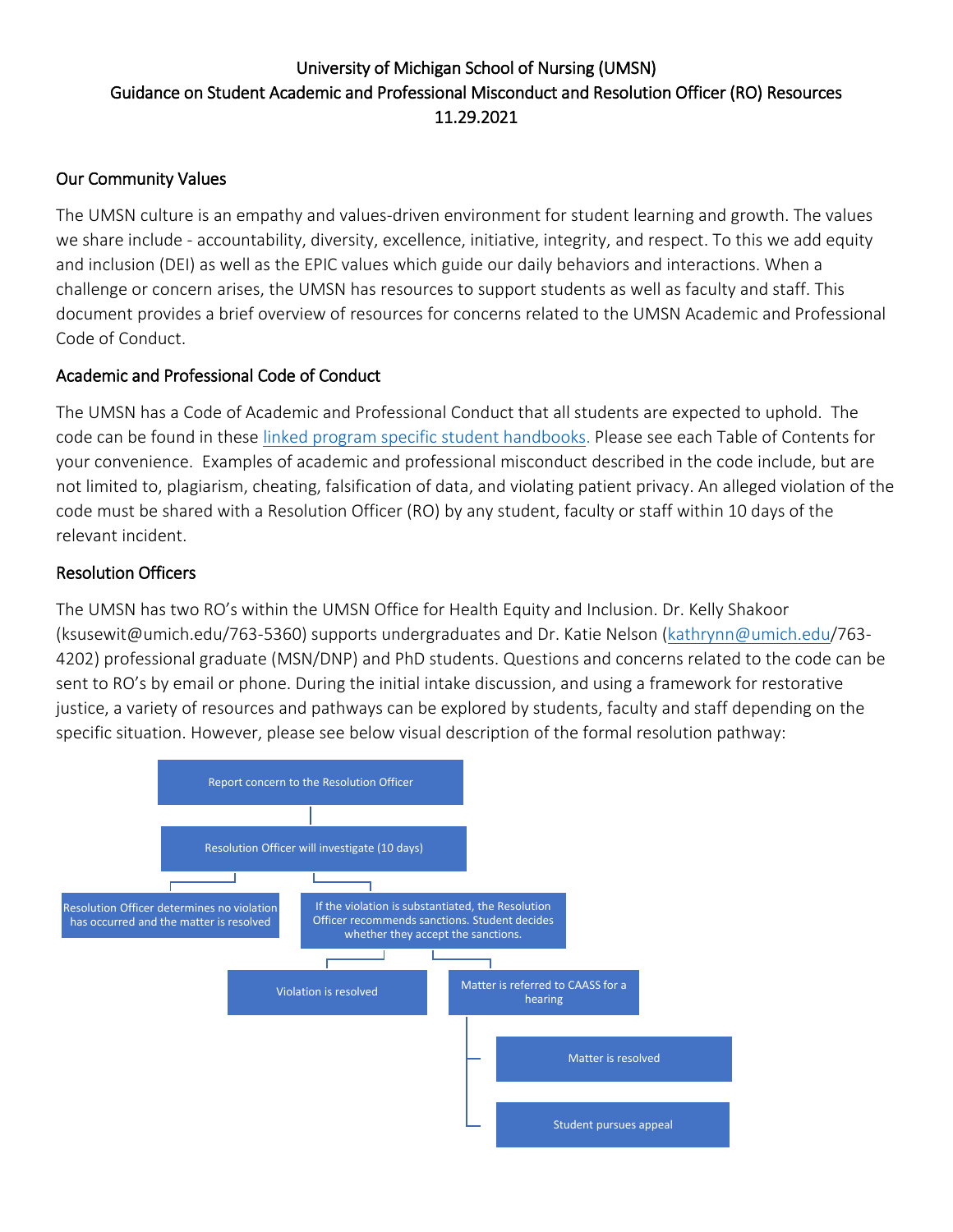# University of Michigan School of Nursing (UMSN) Guidance on Student Academic and Professional Misconduct and Resolution Officer (RO) Resources 11.29.2021

## Our Community Values

The UMSN culture is an empathy and values-driven environment for student learning and growth. The values we share include - accountability, diversity, excellence, initiative, integrity, and respect. To this we add equity and inclusion (DEI) as well as the EPIC values which guide our daily behaviors and interactions. When a challenge or concern arises, the UMSN has resources to support students as well as faculty and staff. This document provides a brief overview of resources for concerns related to the UMSN Academic and Professional Code of Conduct.

### Academic and Professional Code of Conduct

The UMSN has a Code of Academic and Professional Conduct that all students are expected to uphold. The code can be found in these [linked program specific student handbooks.](https://nursing.umich.edu/information-for/current-students/handbooks-policies) Please see each Table of Contents for your convenience. Examples of academic and professional misconduct described in the code include, but are not limited to, plagiarism, cheating, falsification of data, and violating patient privacy. An alleged violation of the code must be shared with a Resolution Officer (RO) by any student, faculty or staff within 10 days of the relevant incident.

#### Resolution Officers

The UMSN has two RO's within the UMSN Office for Health Equity and Inclusion. Dr. Kelly Shakoor (ksusewit@umich.edu/763-5360) supports undergraduates and Dr. Katie Nelson [\(kathrynn@umich.edu/](mailto:kathrynn@umich.edu)763- 4202) professional graduate (MSN/DNP) and PhD students. Questions and concerns related to the code can be sent to RO's by email or phone. During the initial intake discussion, and using a framework for restorative justice, a variety of resources and pathways can be explored by students, faculty and staff depending on the specific situation. However, please see below visual description of the formal resolution pathway: